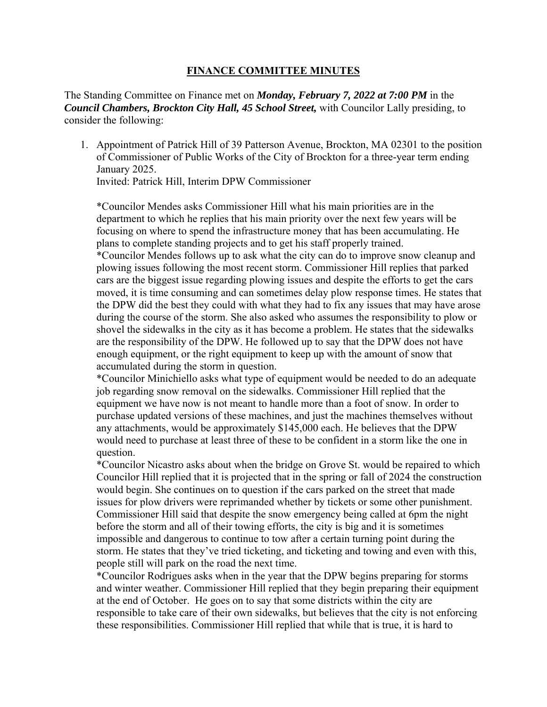## **FINANCE COMMITTEE MINUTES**

The Standing Committee on Finance met on *Monday, February 7, 2022 at 7:00 PM* in the *Council Chambers, Brockton City Hall, 45 School Street,* with Councilor Lally presiding, to consider the following:

1. Appointment of Patrick Hill of 39 Patterson Avenue, Brockton, MA 02301 to the position of Commissioner of Public Works of the City of Brockton for a three-year term ending January 2025.

Invited: Patrick Hill, Interim DPW Commissioner

\*Councilor Mendes asks Commissioner Hill what his main priorities are in the department to which he replies that his main priority over the next few years will be focusing on where to spend the infrastructure money that has been accumulating. He plans to complete standing projects and to get his staff properly trained.

\*Councilor Mendes follows up to ask what the city can do to improve snow cleanup and plowing issues following the most recent storm. Commissioner Hill replies that parked cars are the biggest issue regarding plowing issues and despite the efforts to get the cars moved, it is time consuming and can sometimes delay plow response times. He states that the DPW did the best they could with what they had to fix any issues that may have arose during the course of the storm. She also asked who assumes the responsibility to plow or shovel the sidewalks in the city as it has become a problem. He states that the sidewalks are the responsibility of the DPW. He followed up to say that the DPW does not have enough equipment, or the right equipment to keep up with the amount of snow that accumulated during the storm in question.

\*Councilor Minichiello asks what type of equipment would be needed to do an adequate job regarding snow removal on the sidewalks. Commissioner Hill replied that the equipment we have now is not meant to handle more than a foot of snow. In order to purchase updated versions of these machines, and just the machines themselves without any attachments, would be approximately \$145,000 each. He believes that the DPW would need to purchase at least three of these to be confident in a storm like the one in question.

\*Councilor Nicastro asks about when the bridge on Grove St. would be repaired to which Councilor Hill replied that it is projected that in the spring or fall of 2024 the construction would begin. She continues on to question if the cars parked on the street that made issues for plow drivers were reprimanded whether by tickets or some other punishment. Commissioner Hill said that despite the snow emergency being called at 6pm the night before the storm and all of their towing efforts, the city is big and it is sometimes impossible and dangerous to continue to tow after a certain turning point during the storm. He states that they've tried ticketing, and ticketing and towing and even with this, people still will park on the road the next time.

\*Councilor Rodrigues asks when in the year that the DPW begins preparing for storms and winter weather. Commissioner Hill replied that they begin preparing their equipment at the end of October. He goes on to say that some districts within the city are responsible to take care of their own sidewalks, but believes that the city is not enforcing these responsibilities. Commissioner Hill replied that while that is true, it is hard to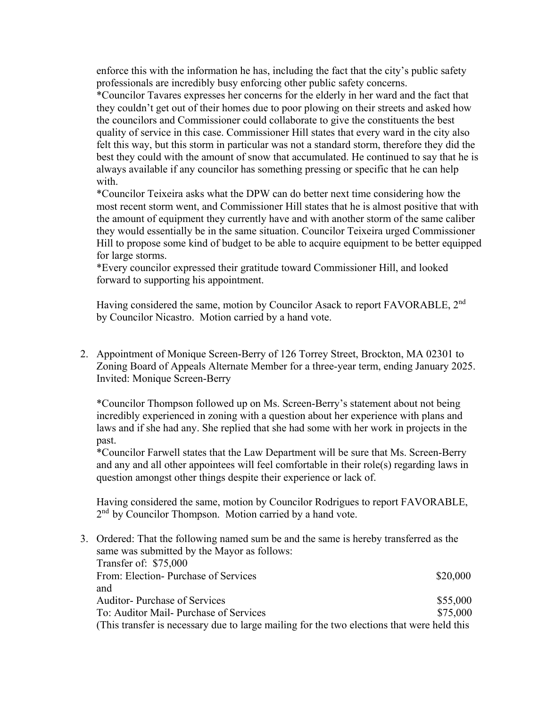enforce this with the information he has, including the fact that the city's public safety professionals are incredibly busy enforcing other public safety concerns.

\*Councilor Tavares expresses her concerns for the elderly in her ward and the fact that they couldn't get out of their homes due to poor plowing on their streets and asked how the councilors and Commissioner could collaborate to give the constituents the best quality of service in this case. Commissioner Hill states that every ward in the city also felt this way, but this storm in particular was not a standard storm, therefore they did the best they could with the amount of snow that accumulated. He continued to say that he is always available if any councilor has something pressing or specific that he can help with.

\*Councilor Teixeira asks what the DPW can do better next time considering how the most recent storm went, and Commissioner Hill states that he is almost positive that with the amount of equipment they currently have and with another storm of the same caliber they would essentially be in the same situation. Councilor Teixeira urged Commissioner Hill to propose some kind of budget to be able to acquire equipment to be better equipped for large storms.

\*Every councilor expressed their gratitude toward Commissioner Hill, and looked forward to supporting his appointment.

Having considered the same, motion by Councilor Asack to report FAVORABLE, 2nd by Councilor Nicastro. Motion carried by a hand vote.

2. Appointment of Monique Screen-Berry of 126 Torrey Street, Brockton, MA 02301 to Zoning Board of Appeals Alternate Member for a three-year term, ending January 2025. Invited: Monique Screen-Berry

\*Councilor Thompson followed up on Ms. Screen-Berry's statement about not being incredibly experienced in zoning with a question about her experience with plans and laws and if she had any. She replied that she had some with her work in projects in the past.

\*Councilor Farwell states that the Law Department will be sure that Ms. Screen-Berry and any and all other appointees will feel comfortable in their role(s) regarding laws in question amongst other things despite their experience or lack of.

Having considered the same, motion by Councilor Rodrigues to report FAVORABLE, 2<sup>nd</sup> by Councilor Thompson. Motion carried by a hand vote.

3. Ordered: That the following named sum be and the same is hereby transferred as the same was submitted by the Mayor as follows: Transfer of: \$75,000 From: Election- Purchase of Services  $$20,000$ and Auditor- Purchase of Services  $$55,000$ To: Auditor Mail- Purchase of Services  $$75,000$ (This transfer is necessary due to large mailing for the two elections that were held this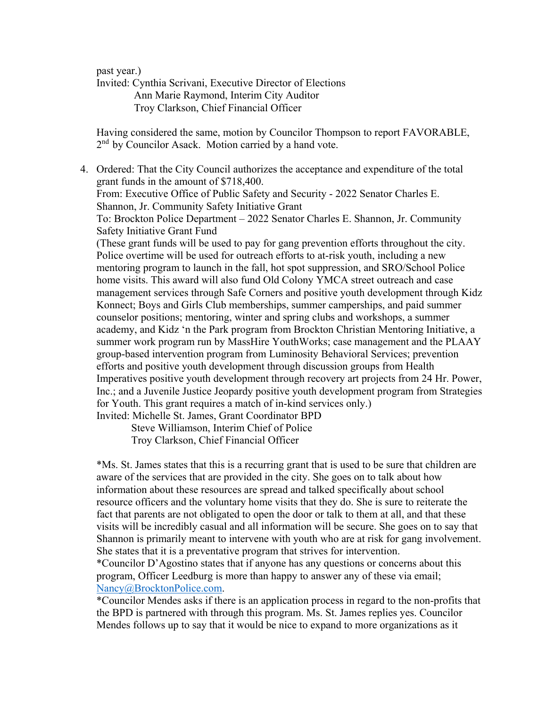past year.)

Invited: Cynthia Scrivani, Executive Director of Elections Ann Marie Raymond, Interim City Auditor Troy Clarkson, Chief Financial Officer

Having considered the same, motion by Councilor Thompson to report FAVORABLE, 2<sup>nd</sup> by Councilor Asack. Motion carried by a hand vote.

4. Ordered: That the City Council authorizes the acceptance and expenditure of the total grant funds in the amount of \$718,400. From: Executive Office of Public Safety and Security - 2022 Senator Charles E. Shannon, Jr. Community Safety Initiative Grant To: Brockton Police Department – 2022 Senator Charles E. Shannon, Jr. Community Safety Initiative Grant Fund (These grant funds will be used to pay for gang prevention efforts throughout the city. Police overtime will be used for outreach efforts to at-risk youth, including a new mentoring program to launch in the fall, hot spot suppression, and SRO/School Police home visits. This award will also fund Old Colony YMCA street outreach and case management services through Safe Corners and positive youth development through Kidz Konnect; Boys and Girls Club memberships, summer camperships, and paid summer counselor positions; mentoring, winter and spring clubs and workshops, a summer academy, and Kidz 'n the Park program from Brockton Christian Mentoring Initiative, a summer work program run by MassHire YouthWorks; case management and the PLAAY group-based intervention program from Luminosity Behavioral Services; prevention efforts and positive youth development through discussion groups from Health Imperatives positive youth development through recovery art projects from 24 Hr. Power, Inc.; and a Juvenile Justice Jeopardy positive youth development program from Strategies for Youth. This grant requires a match of in-kind services only.) Invited: Michelle St. James, Grant Coordinator BPD

> Steve Williamson, Interim Chief of Police Troy Clarkson, Chief Financial Officer

\*Ms. St. James states that this is a recurring grant that is used to be sure that children are aware of the services that are provided in the city. She goes on to talk about how information about these resources are spread and talked specifically about school resource officers and the voluntary home visits that they do. She is sure to reiterate the fact that parents are not obligated to open the door or talk to them at all, and that these visits will be incredibly casual and all information will be secure. She goes on to say that Shannon is primarily meant to intervene with youth who are at risk for gang involvement. She states that it is a preventative program that strives for intervention.

\*Councilor D'Agostino states that if anyone has any questions or concerns about this program, Officer Leedburg is more than happy to answer any of these via email; Nancy@BrocktonPolice.com.

\*Councilor Mendes asks if there is an application process in regard to the non-profits that the BPD is partnered with through this program. Ms. St. James replies yes. Councilor Mendes follows up to say that it would be nice to expand to more organizations as it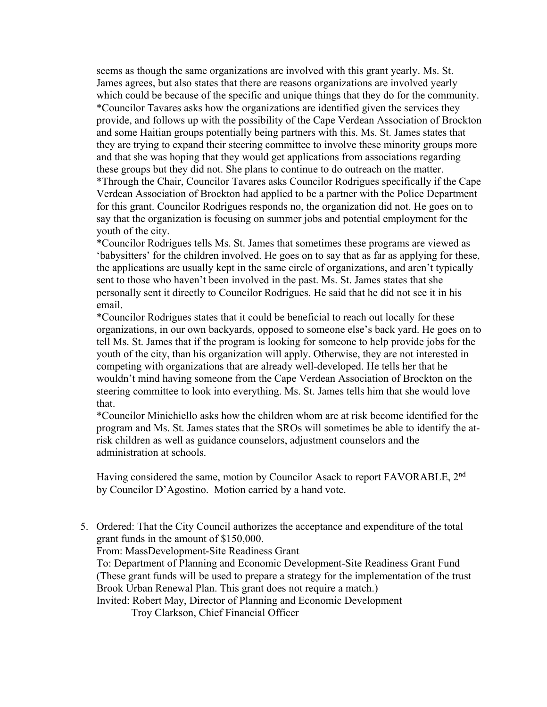seems as though the same organizations are involved with this grant yearly. Ms. St. James agrees, but also states that there are reasons organizations are involved yearly which could be because of the specific and unique things that they do for the community. \*Councilor Tavares asks how the organizations are identified given the services they provide, and follows up with the possibility of the Cape Verdean Association of Brockton and some Haitian groups potentially being partners with this. Ms. St. James states that they are trying to expand their steering committee to involve these minority groups more and that she was hoping that they would get applications from associations regarding these groups but they did not. She plans to continue to do outreach on the matter. \*Through the Chair, Councilor Tavares asks Councilor Rodrigues specifically if the Cape Verdean Association of Brockton had applied to be a partner with the Police Department for this grant. Councilor Rodrigues responds no, the organization did not. He goes on to say that the organization is focusing on summer jobs and potential employment for the youth of the city.

\*Councilor Rodrigues tells Ms. St. James that sometimes these programs are viewed as 'babysitters' for the children involved. He goes on to say that as far as applying for these, the applications are usually kept in the same circle of organizations, and aren't typically sent to those who haven't been involved in the past. Ms. St. James states that she personally sent it directly to Councilor Rodrigues. He said that he did not see it in his email.

\*Councilor Rodrigues states that it could be beneficial to reach out locally for these organizations, in our own backyards, opposed to someone else's back yard. He goes on to tell Ms. St. James that if the program is looking for someone to help provide jobs for the youth of the city, than his organization will apply. Otherwise, they are not interested in competing with organizations that are already well-developed. He tells her that he wouldn't mind having someone from the Cape Verdean Association of Brockton on the steering committee to look into everything. Ms. St. James tells him that she would love that.

\*Councilor Minichiello asks how the children whom are at risk become identified for the program and Ms. St. James states that the SROs will sometimes be able to identify the atrisk children as well as guidance counselors, adjustment counselors and the administration at schools.

Having considered the same, motion by Councilor Asack to report FAVORABLE, 2nd by Councilor D'Agostino. Motion carried by a hand vote.

5. Ordered: That the City Council authorizes the acceptance and expenditure of the total grant funds in the amount of \$150,000. From: MassDevelopment-Site Readiness Grant To: Department of Planning and Economic Development-Site Readiness Grant Fund (These grant funds will be used to prepare a strategy for the implementation of the trust Brook Urban Renewal Plan. This grant does not require a match.) Invited: Robert May, Director of Planning and Economic Development

Troy Clarkson, Chief Financial Officer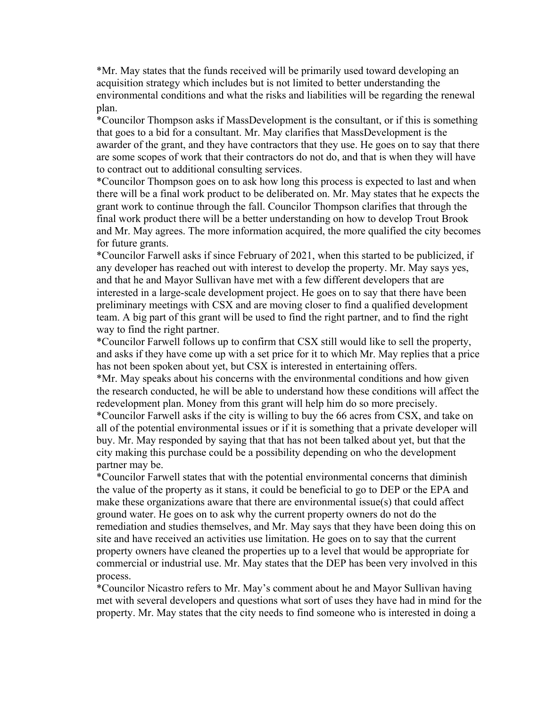\*Mr. May states that the funds received will be primarily used toward developing an acquisition strategy which includes but is not limited to better understanding the environmental conditions and what the risks and liabilities will be regarding the renewal plan.

\*Councilor Thompson asks if MassDevelopment is the consultant, or if this is something that goes to a bid for a consultant. Mr. May clarifies that MassDevelopment is the awarder of the grant, and they have contractors that they use. He goes on to say that there are some scopes of work that their contractors do not do, and that is when they will have to contract out to additional consulting services.

\*Councilor Thompson goes on to ask how long this process is expected to last and when there will be a final work product to be deliberated on. Mr. May states that he expects the grant work to continue through the fall. Councilor Thompson clarifies that through the final work product there will be a better understanding on how to develop Trout Brook and Mr. May agrees. The more information acquired, the more qualified the city becomes for future grants.

\*Councilor Farwell asks if since February of 2021, when this started to be publicized, if any developer has reached out with interest to develop the property. Mr. May says yes, and that he and Mayor Sullivan have met with a few different developers that are interested in a large-scale development project. He goes on to say that there have been preliminary meetings with CSX and are moving closer to find a qualified development team. A big part of this grant will be used to find the right partner, and to find the right way to find the right partner.

\*Councilor Farwell follows up to confirm that CSX still would like to sell the property, and asks if they have come up with a set price for it to which Mr. May replies that a price has not been spoken about yet, but CSX is interested in entertaining offers.

\*Mr. May speaks about his concerns with the environmental conditions and how given the research conducted, he will be able to understand how these conditions will affect the redevelopment plan. Money from this grant will help him do so more precisely.

\*Councilor Farwell asks if the city is willing to buy the 66 acres from CSX, and take on all of the potential environmental issues or if it is something that a private developer will buy. Mr. May responded by saying that that has not been talked about yet, but that the city making this purchase could be a possibility depending on who the development partner may be.

\*Councilor Farwell states that with the potential environmental concerns that diminish the value of the property as it stans, it could be beneficial to go to DEP or the EPA and make these organizations aware that there are environmental issue(s) that could affect ground water. He goes on to ask why the current property owners do not do the remediation and studies themselves, and Mr. May says that they have been doing this on site and have received an activities use limitation. He goes on to say that the current property owners have cleaned the properties up to a level that would be appropriate for commercial or industrial use. Mr. May states that the DEP has been very involved in this process.

\*Councilor Nicastro refers to Mr. May's comment about he and Mayor Sullivan having met with several developers and questions what sort of uses they have had in mind for the property. Mr. May states that the city needs to find someone who is interested in doing a